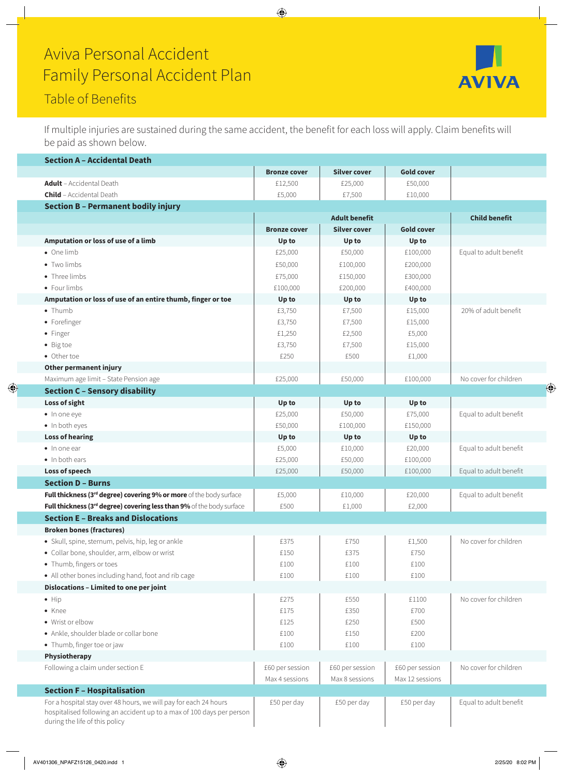## Aviva Personal Accident Family Personal Accident Plan



If multiple injuries are sustained during the same accident, the benefit for each loss will apply. Claim benefits will be paid as shown below.

**AVIVA** 

| <b>Section A - Accidental Death</b>                                                                                                                                         |                      |                     |                      |                        |
|-----------------------------------------------------------------------------------------------------------------------------------------------------------------------------|----------------------|---------------------|----------------------|------------------------|
|                                                                                                                                                                             | <b>Bronze cover</b>  | <b>Silver cover</b> | <b>Gold cover</b>    |                        |
| <b>Adult</b> - Accidental Death                                                                                                                                             | £12,500              | £25,000             | £50,000              |                        |
| <b>Child</b> - Accidental Death                                                                                                                                             | £5,000               | £7,500              | £10,000              |                        |
| <b>Section B - Permanent bodily injury</b>                                                                                                                                  |                      |                     |                      |                        |
|                                                                                                                                                                             | <b>Adult benefit</b> |                     | <b>Child benefit</b> |                        |
|                                                                                                                                                                             | <b>Bronze cover</b>  | <b>Silver cover</b> | <b>Gold cover</b>    |                        |
| Amputation or loss of use of a limb                                                                                                                                         | Up to                | Up to               | Up to                |                        |
| • One limb                                                                                                                                                                  | £25,000              | £50,000             | £100,000             | Equal to adult benefit |
| • Two limbs                                                                                                                                                                 | £50,000              | £100,000            | £200,000             |                        |
| • Three limbs                                                                                                                                                               | £75,000              | £150,000            | £300,000             |                        |
| • Four limbs                                                                                                                                                                | £100,000             | £200,000            | £400,000             |                        |
| Amputation or loss of use of an entire thumb, finger or toe                                                                                                                 | Up to                | Up to               | Up to                |                        |
| $\bullet$ Thumb                                                                                                                                                             | £3,750               | £7,500              | £15,000              | 20% of adult benefit   |
| • Forefinger                                                                                                                                                                | £3,750               | £7,500              | £15,000              |                        |
| • Finger                                                                                                                                                                    | £1,250               | £2,500              | £5,000               |                        |
| • Big toe                                                                                                                                                                   | £3,750               | £7,500              | £15,000              |                        |
| • Other toe                                                                                                                                                                 | £250                 | £500                | £1,000               |                        |
| Other permanent injury                                                                                                                                                      |                      |                     |                      |                        |
| Maximum age limit - State Pension age                                                                                                                                       | £25,000              | £50,000             | £100,000             | No cover for children  |
| <b>Section C - Sensory disability</b>                                                                                                                                       |                      |                     |                      |                        |
| Loss of sight                                                                                                                                                               | Up to                | Up to               | Up to                |                        |
| · In one eye                                                                                                                                                                | £25,000              | £50,000             | £75,000              | Equal to adult benefit |
| · In both eyes                                                                                                                                                              | £50,000              | £100,000            | £150,000             |                        |
| <b>Loss of hearing</b>                                                                                                                                                      | Up to                | Up to               | Up to                |                        |
| $\bullet$ In one ear                                                                                                                                                        | £5,000               | £10,000             | £20,000              | Equal to adult benefit |
| • In both ears                                                                                                                                                              | £25,000              | £50,000             | £100,000             |                        |
| Loss of speech                                                                                                                                                              | £25,000              | £50,000             | £100,000             | Equal to adult benefit |
| <b>Section D - Burns</b>                                                                                                                                                    |                      |                     |                      |                        |
| Full thickness (3rd degree) covering 9% or more of the body surface                                                                                                         | £5,000               | £10,000             | £20,000              | Equal to adult benefit |
| Full thickness (3rd degree) covering less than 9% of the body surface                                                                                                       | £500                 | £1,000              | £2,000               |                        |
| <b>Section E - Breaks and Dislocations</b>                                                                                                                                  |                      |                     |                      |                        |
| <b>Broken bones (fractures)</b>                                                                                                                                             |                      |                     |                      |                        |
| · Skull, spine, sternum, pelvis, hip, leg or ankle                                                                                                                          | £375                 | £750                | £1,500               | No cover for children  |
| • Collar bone, shoulder, arm, elbow or wrist                                                                                                                                | £150                 | £375                | £750                 |                        |
| • Thumb, fingers or toes                                                                                                                                                    | £100                 | £100                | £100                 |                        |
| • All other bones including hand, foot and rib cage                                                                                                                         | £100                 | £100                | £100                 |                        |
| Dislocations - Limited to one per joint                                                                                                                                     |                      |                     |                      |                        |
| $\bullet$ Hip                                                                                                                                                               | £275                 | £550                | £1100                | No cover for children  |
| • Knee                                                                                                                                                                      | £175                 | £350                | £700                 |                        |
| • Wrist or elbow                                                                                                                                                            | £125                 | £250                | £500                 |                        |
| · Ankle, shoulder blade or collar bone                                                                                                                                      | £100                 | £150                | £200                 |                        |
| • Thumb, finger toe or jaw                                                                                                                                                  | £100                 | £100                | £100                 |                        |
| Physiotherapy                                                                                                                                                               |                      |                     |                      |                        |
| Following a claim under section E                                                                                                                                           | £60 per session      | £60 per session     | £60 per session      | No cover for children  |
|                                                                                                                                                                             | Max 4 sessions       | Max 8 sessions      | Max 12 sessions      |                        |
| <b>Section F - Hospitalisation</b>                                                                                                                                          |                      |                     |                      |                        |
| For a hospital stay over 48 hours, we will pay for each 24 hours<br>hospitalised following an accident up to a max of 100 days per person<br>during the life of this policy | £50 per day          | £50 per day         | £50 per day          | Equal to adult benefit |